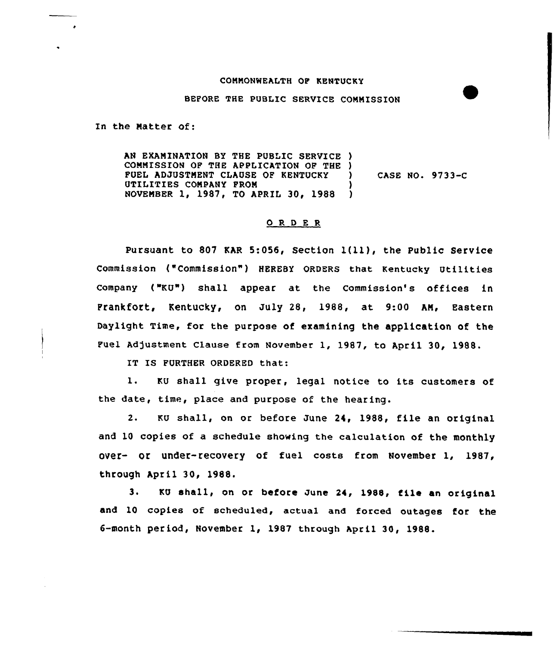## COMMONWEALTH OP KENTUCKY

## BEFORE THE PUBLIC SERVICE COMMISSION

In the Matter of:

AN EXAMINATION BY THE PUBLIC SERVICE ) COMMISSION OF THE APPLICATION OF THE )<br>FUEL ADJUSTMENT CLAUSE OF KENTUCKY FUEL ADJUSTMENT CLAUSE OF KENTUCKY UTILITIES COMPANY FROM (1988) NOVEMBER 1, 1987, TO APRIL 30, 1988 CASE NO. 9733-C

## 0 R <sup>D</sup> E <sup>R</sup>

Pursuant to <sup>807</sup> KAR 5:056, Section l(ll), the Public Service Commission ("Commission") HEREBY ORDERS that Kentucky Utilities Company ("KU") shall appear at the Commission's offices in Prankfort, Kentucky, on July 28, 1988, at 9:00 AM, Eastern Daylight Time, for the purpose of examining the application of the Fuel Adjustment Clause from November 1, 1987, to April 30, 1988.

IT IS FURTHER ORDERED that:

1. KU shall give proper, legal notice to its customers of the date, time, place and purpose of the hearing.

2. KU shall, on or before June 24, 1988, file an original and 10 copies of a schedule showing the calculation of the monthly over- Or under-recovery of fuel costs from November 1, 1987, through April 30, 1988.

3. KU shall, on or before June 24, 1988, file an original and 10 copies of scheduled, actual and forced outages for the 6-month period, November 1, 1987 through April 30, 1988.